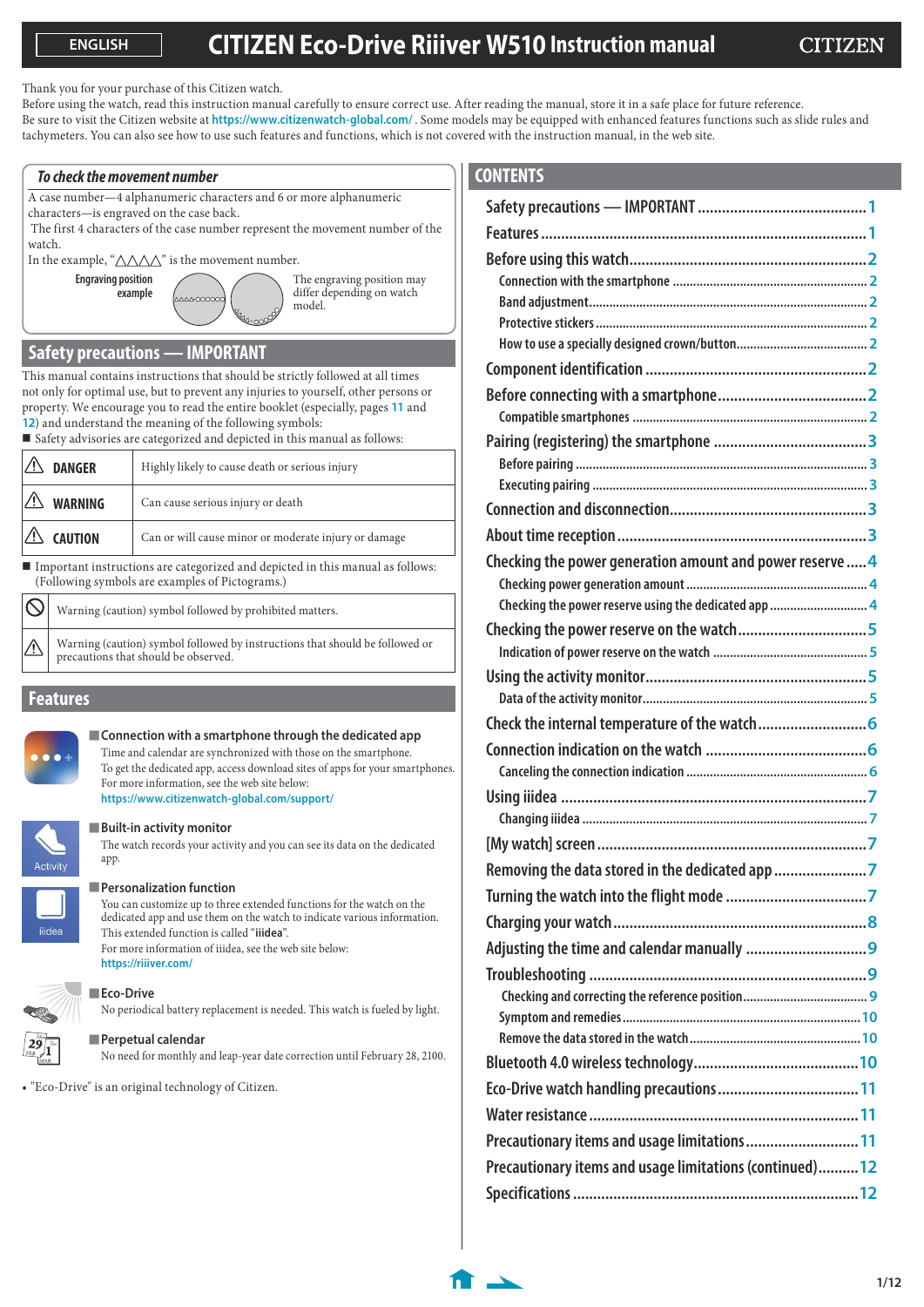Thank you for your purchase of this Citizen watch.

Before using the watch, read this instruction manual carefully to ensure correct use. After reading the manual, store it in a safe place for future reference. Be sure to visit the Citizen website at **https://www.citizenwatch-global.com/** . Some models may be equipped with enhanced features functions such as slide rules and tachymeters. You can also see how to use such features and functions, which is not covered with the instruction manual, in the web site.

#### **To check the movement number**

A case number—4 alphanumeric characters and 6 or more alphanumeric characters—is engraved on the case back.

 $00000$ 

 The first 4 characters of the case number represent the movement number of the watch.

In the example, " $\triangle \triangle \triangle$ " is the movement number.

**Engraving position example**

The engraving position may differ depending on watch model.

# **Safety precautions — IMPORTANT**

This manual contains instructions that should be strictly followed at all times not only for optimal use, but to prevent any injuries to yourself, other persons or property. We encourage you to read the entire booklet (especially, pages **[11](#page-10-0)** and **[12](#page-11-0)**) and understand the meaning of the following symbols:

Safety advisories are categorized and depicted in this manual as follows:

| $\mathbb{Z}$ | <b>DANGER</b>      | Highly likely to cause death or serious injury       |
|--------------|--------------------|------------------------------------------------------|
|              | $\sqrt{2}$ WARNING | Can cause serious injury or death                    |
|              | $\sqrt{2}$ Caution | Can or will cause minor or moderate injury or damage |
|              |                    | .                                                    |

 Important instructions are categorized and depicted in this manual as follows: (Following symbols are examples of Pictograms.)

|                    | $\bigotimes$ Warning (caution) symbol followed by prohibited matters.                                             |
|--------------------|-------------------------------------------------------------------------------------------------------------------|
| $\mathbb{V} \vert$ | Warning (caution) symbol followed by instructions that should be followed or precautions that should be observed. |

## **Features**



#### **Connection with a smartphone through the dedicated app**

Time and calendar are synchronized with those on the smartphone. To get the dedicated app, access download sites of apps for your smartphones. For more information, see the web site below: **https://www.citizenwatch-global.com/support/**



## **Built-in activity monitor**

The watch records your activity and you can see its data on the dedicated app.



## **Personalization function**

You can customize up to three extended functions for the watch on the dedicated app and use them on the watch to indicate various information. This extended function is called "**iiidea**". For more information of iiidea, see the web site below: **https://riiiver.com/**



# **Eco-Drive**

No periodical battery replacement is needed. This watch is fueled by light.



**Perpetual calendar**

No need for monthly and leap-year date correction until February 28, 2100.

• "Eco-Drive" is an original technology of Citizen.

# **CONTENTS**

| <b>JUNIENIS</b>                                          |  |
|----------------------------------------------------------|--|
|                                                          |  |
|                                                          |  |
|                                                          |  |
|                                                          |  |
|                                                          |  |
|                                                          |  |
|                                                          |  |
|                                                          |  |
|                                                          |  |
|                                                          |  |
|                                                          |  |
|                                                          |  |
|                                                          |  |
|                                                          |  |
| Checking the power generation amount and power reserve 4 |  |
| Checking the power reserve using the dedicated app  4    |  |
| Checking the power reserve on the watch5                 |  |
|                                                          |  |
|                                                          |  |
|                                                          |  |
|                                                          |  |
|                                                          |  |
|                                                          |  |
|                                                          |  |
|                                                          |  |
|                                                          |  |
| Removing the data stored in the dedicated app 7          |  |
|                                                          |  |
|                                                          |  |
|                                                          |  |
|                                                          |  |
|                                                          |  |
|                                                          |  |
|                                                          |  |
|                                                          |  |
|                                                          |  |
| Precautionary items and usage limitations  11            |  |
| Precautionary items and usage limitations (continued) 12 |  |
|                                                          |  |
|                                                          |  |

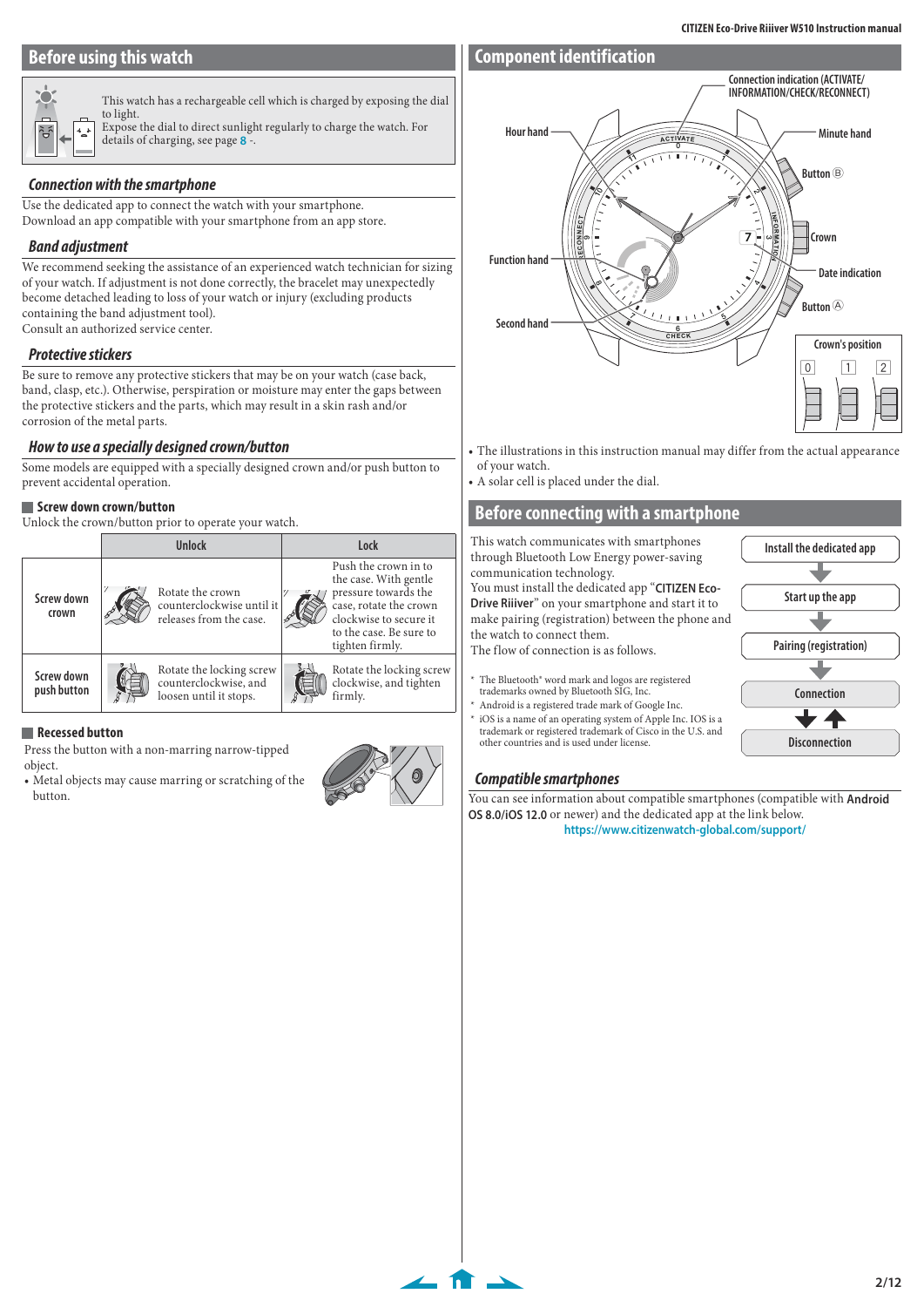# <span id="page-1-0"></span>**Before using this watch**

# **Component identification**



This watch has a rechargeable cell which is charged by exposing the dial to light. Expose the dial to direct sunlight regularly to charge the watch. For details of charging, see page **[8](#page-7-1)** -.

## **Connection with the smartphone**

Use the dedicated app to connect the watch with your smartphone. Download an app compatible with your smartphone from an app store.

## **Band adjustment**

We recommend seeking the assistance of an experienced watch technician for sizing of your watch. If adjustment is not done correctly, the bracelet may unexpectedly become detached leading to loss of your watch or injury (excluding products containing the band adjustment tool). Consult an authorized service center.

#### **Protective stickers**

Be sure to remove any protective stickers that may be on your watch (case back, band, clasp, etc.). Otherwise, perspiration or moisture may enter the gaps between the protective stickers and the parts, which may result in a skin rash and/or corrosion of the metal parts.

#### **How to use a specially designed crown/button**

Some models are equipped with a specially designed crown and/or push button to prevent accidental operation.

#### **Screw down crown/button**

Unlock the crown/button prior to operate your watch.

|                           | Unlock                                                                      | Lock |                                                                                                                                                                         |  |
|---------------------------|-----------------------------------------------------------------------------|------|-------------------------------------------------------------------------------------------------------------------------------------------------------------------------|--|
| Screw down<br>crown       | Rotate the crown<br>counterclockwise until it<br>releases from the case.    |      | Push the crown in to<br>the case. With gentle<br>pressure towards the<br>case, rotate the crown<br>clockwise to secure it<br>to the case. Be sure to<br>tighten firmly. |  |
| Screw down<br>push button | Rotate the locking screw<br>counterclockwise, and<br>loosen until it stops. |      | Rotate the locking screw<br>clockwise, and tighten<br>firmly.                                                                                                           |  |

#### **Recessed button**

- Press the button with a non-marring narrow-tipped object.
- Metal objects may cause marring or scratching of the button.



 $\leftarrow$  for  $\rightarrow$ 



- The illustrations in this instruction manual may differ from the actual appearance of your watch.
- A solar cell is placed under the dial.

## **Before connecting with a smartphone**

This watch communicates with smartphones through Bluetooth Low Energy power-saving communication technology. You must install the dedicated app "**CITIZEN Eco-Drive Riiiver**" on your smartphone and start it to make pairing (registration) between the phone and the watch to connect them. The flow of connection is as follows. \* The Bluetooth® word mark and logos are registered trademarks owned by Bluetooth SIG, Inc. Android is a registered trade mark of Google Inc. iOS is a name of an operating system of Apple Inc. IOS is a trademark or registered trademark of Cisco in the U.S. and **Install the dedicated app Pairing (registration) Connection Start up the app**

# **Compatible smartphones**

other countries and is used under license.

You can see information about compatible smartphones (compatible with **Android OS 8.0/iOS 12.0** or newer) and the dedicated app at the link below. **https://www.citizenwatch-global.com/support/**

**Disconnection**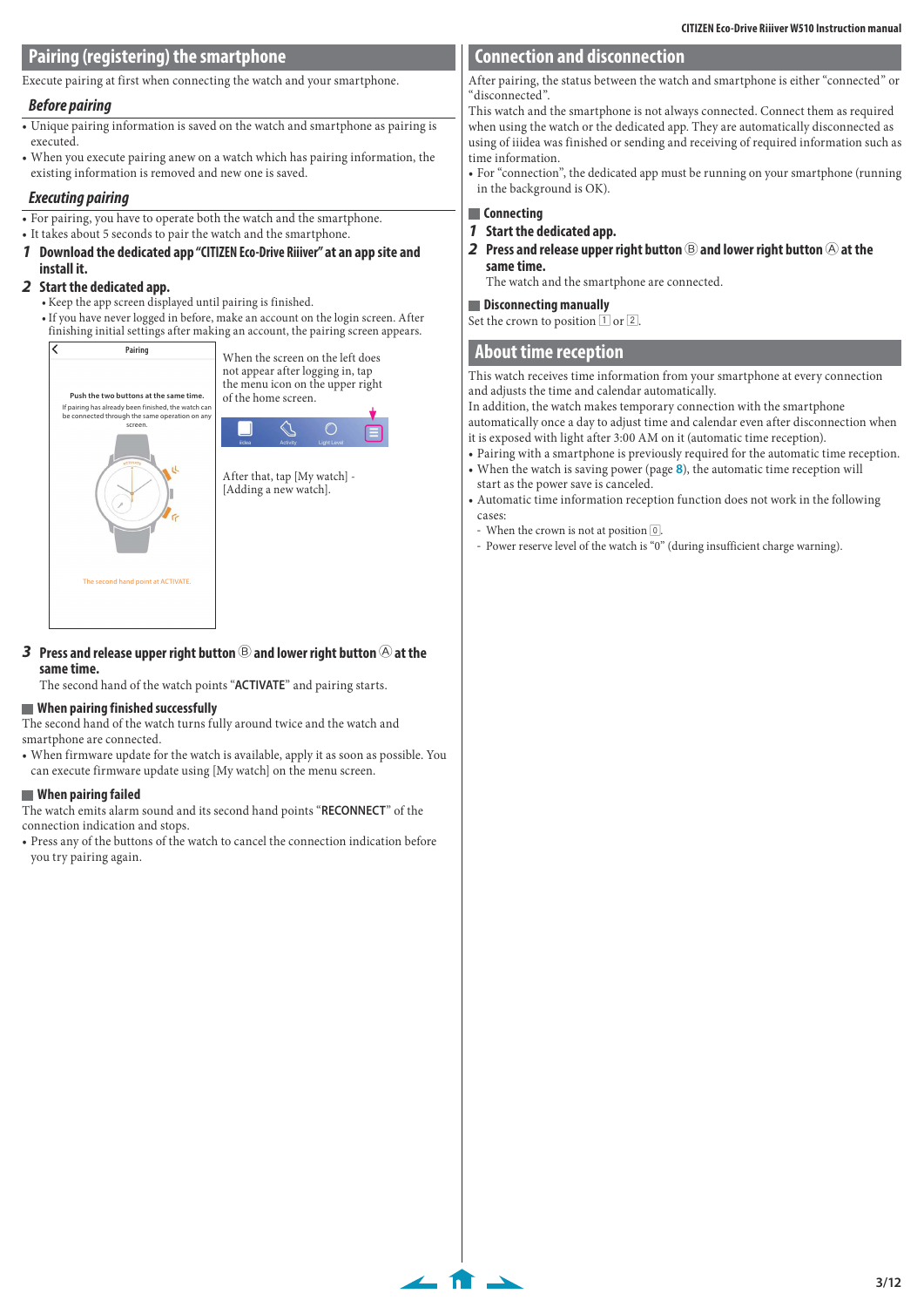## <span id="page-2-0"></span>**Pairing (registering) the smartphone**

Execute pairing at first when connecting the watch and your smartphone.

#### **Before pairing**

- Unique pairing information is saved on the watch and smartphone as pairing is executed.
- When you execute pairing anew on a watch which has pairing information, the existing information is removed and new one is saved.

#### **Executing pairing**

- For pairing, you have to operate both the watch and the smartphone.
- It takes about 5 seconds to pair the watch and the smartphone.
- **1 Download the dedicated app "CITIZEN Eco-Drive Riiiver" at an app site and install it.**

#### **2 Start the dedicated app.**

- Keep the app screen displayed until pairing is finished.
- If you have never logged in before, make an account on the login screen. After finishing initial settings after making an account, the pairing screen appears.



**3** Press and release upper right button  $\circledB$  and lower right button  $\circledB$  at the **same time.**

The second hand of the watch points "**ACTIVATE**" and pairing starts.

#### **When pairing finished successfully**

The second hand of the watch turns fully around twice and the watch and smartphone are connected.

• When firmware update for the watch is available, apply it as soon as possible. You can execute firmware update using [My watch] on the menu screen.

#### **When pairing failed**

The watch emits alarm sound and its second hand points "**RECONNECT**" of the connection indication and stops.

• Press any of the buttons of the watch to cancel the connection indication before you try pairing again.

## **Connection and disconnection**

After pairing, the status between the watch and smartphone is either "connected" or "disconnected".

This watch and the smartphone is not always connected. Connect them as required when using the watch or the dedicated app. They are automatically disconnected as using of iiidea was finished or sending and receiving of required information such as time information.

• For "connection", the dedicated app must be running on your smartphone (running in the background is OK).

## **Connecting**

 $\leftarrow$  for  $\rightarrow$ 

- **1 Start the dedicated app.**
- **2** Press and release upper right button  $\circledB$  and lower right button  $\circledB$  at the **same time.**

The watch and the smartphone are connected.

#### **Disconnecting manually**

Set the crown to position  $\boxed{1}$  or  $\boxed{2}$ .

## **About time reception**

This watch receives time information from your smartphone at every connection and adjusts the time and calendar automatically.

In addition, the watch makes temporary connection with the smartphone automatically once a day to adjust time and calendar even after disconnection when

- it is exposed with light after 3:00 AM on it (automatic time reception).
- Pairing with a smartphone is previously required for the automatic time reception. • When the watch is saving power (page **[8](#page-7-2)**), the automatic time reception will start as the power save is canceled.
- Automatic time information reception function does not work in the following cases:
- When the crown is not at position  $\boxed{0}$ .
- Power reserve level of the watch is "0" (during insufficient charge warning).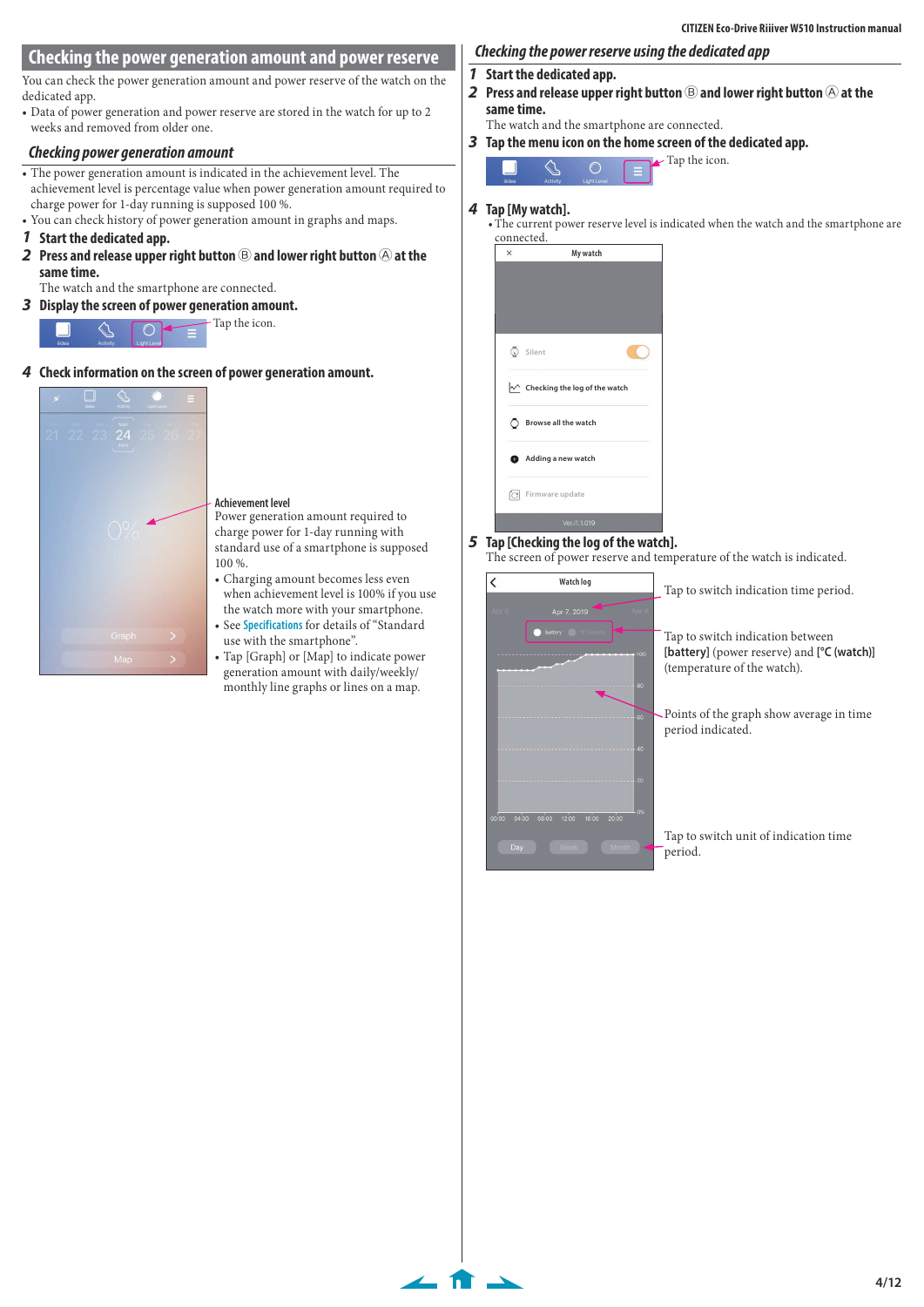# <span id="page-3-1"></span><span id="page-3-0"></span>**Checking the power generation amount and power reserve**

You can check the power generation amount and power reserve of the watch on the dedicated app.

• Data of power generation and power reserve are stored in the watch for up to 2 weeks and removed from older one.

## **Checking power generation amount**

- The power generation amount is indicated in the achievement level. The achievement level is percentage value when power generation amount required to charge power for 1-day running is supposed 100 %.
- You can check history of power generation amount in graphs and maps.

## **1 Start the dedicated app.**

**2** Press and release upper right button  $\circledB$  and lower right button  $\circledB$  at the **same time.**

The watch and the smartphone are connected.

**3 Display the screen of power generation amount.**



**4 Check information on the screen of power generation amount.**



#### **Achievement level**

Power generation amount required to charge power for 1-day running with standard use of a smartphone is supposed 100 %.

- Charging amount becomes less even when achievement level is 100% if you use the watch more with your smartphone.
- See **[Specifications](#page-11-2)** for details of "Standard use with the smartphone". • Tap [Graph] or [Map] to indicate power
- generation amount with daily/weekly/ monthly line graphs or lines on a map.

 $\leftarrow$  fr  $\rightarrow$ 

# **Checking the power reserve using the dedicated app**

- **1 Start the dedicated app.**
- **2** Press and release upper right button  $\circledB$  and lower right button  $\circledB$  at the **same time.**

The watch and the smartphone are connected.

**3 Tap the menu icon on the home screen of the dedicated app.**



## **4 Tap [My watch].**

• The current power reserve level is indicated when the watch and the smartphone are connected.

 $\blacktriangleright$  Tap the icon.



## **5 Tap [Checking the log of the watch].**

The screen of power reserve and temperature of the watch is indicated.

|                       | Watch log                       |                | Tap to switch indication time period.                                                                         |
|-----------------------|---------------------------------|----------------|---------------------------------------------------------------------------------------------------------------|
| Apr 6                 | Apr 7, 2019                     | Apr 8          |                                                                                                               |
|                       | battery                         | 100            | Tap to switch indication between<br>[battery] (power reserve) and [°C (watch)]<br>(temperature of the watch). |
|                       |                                 | 80             |                                                                                                               |
|                       |                                 | 60             | Points of the graph show average in time<br>period indicated.                                                 |
|                       |                                 | 40             |                                                                                                               |
|                       |                                 | 20<br>0%       |                                                                                                               |
| 00:00<br>04:00<br>Day | 12:00<br>16:00<br>08:00<br>Week | 20:00<br>Month | Tap to switch unit of indication time.<br>period.                                                             |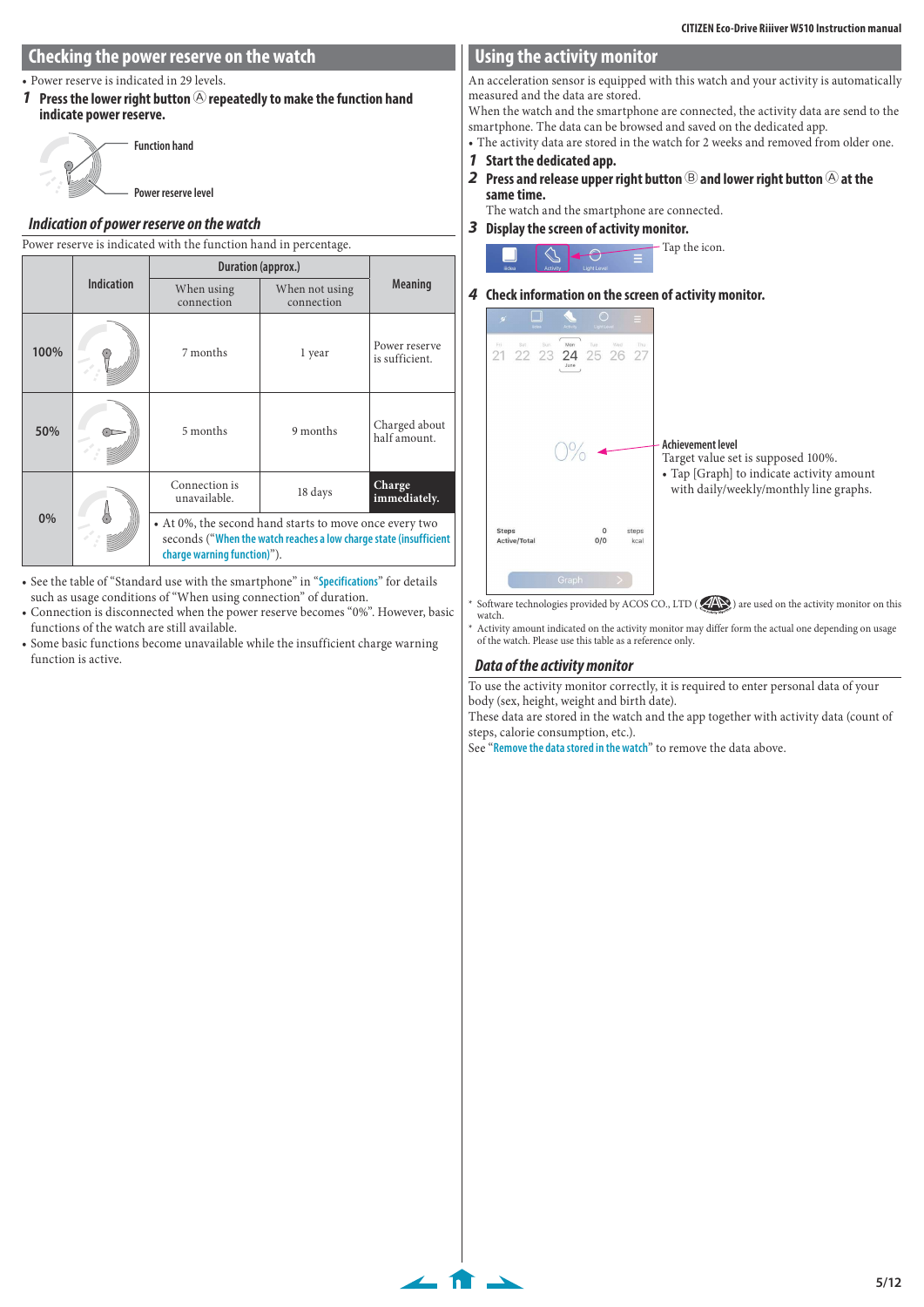## <span id="page-4-0"></span>**Checking the power reserve on the watch**

• Power reserve is indicated in 29 levels.

**1** Press the lower right button  $\bigcirc$  repeatedly to make the function hand **indicate power reserve.**



**Power reserve level**

## **Indication of power reserve on the watch**

| Power reserve is indicated with the function hand in percentage. |                   |                                                                                                                                                            |          |                                 |  |
|------------------------------------------------------------------|-------------------|------------------------------------------------------------------------------------------------------------------------------------------------------------|----------|---------------------------------|--|
|                                                                  |                   | Duration (approx.)                                                                                                                                         |          |                                 |  |
|                                                                  | <b>Indication</b> | When using<br>When not using<br>connection<br>connection                                                                                                   |          | <b>Meaning</b>                  |  |
| 100%                                                             |                   | 7 months                                                                                                                                                   | 1 year   | Power reserve<br>is sufficient. |  |
| 50%                                                              |                   | 5 months                                                                                                                                                   | 9 months | Charged about<br>half amount.   |  |
|                                                                  |                   | Connection is<br>unavailable.                                                                                                                              | 18 days  | Charge<br>immediately.          |  |
| 0%                                                               |                   | • At 0%, the second hand starts to move once every two<br>seconds ("When the watch reaches a low charge state (insufficient<br>charge warning function)"). |          |                                 |  |

- See the table of "Standard use with the smartphone" in "**[Specifications](#page-11-2)**" for details such as usage conditions of "When using connection" of duration.
- Connection is disconnected when the power reserve becomes "0%". However, basic functions of the watch are still available.
- Some basic functions become unavailable while the insufficient charge warning function is active.

## **Using the activity monitor**

An acceleration sensor is equipped with this watch and your activity is automatically measured and the data are stored.

When the watch and the smartphone are connected, the activity data are send to the smartphone. The data can be browsed and saved on the dedicated app.

• The activity data are stored in the watch for 2 weeks and removed from older one.

- **1 Start the dedicated app.**
- **2** Press and release upper right button  $\circledB$  and lower right button  $\circledB$  at the **same time.**

The watch and the smartphone are connected.

**3 Display the screen of activity monitor.**



## **4 Check information on the screen of activity monitor.**



\* Software technologies provided by ACOS CO., LTD (AN) are used on the activity monitor on this watch.

Activity amount indicated on the activity monitor may differ form the actual one depending on usage of the watch. Please use this table as a reference only.

## **Data of the activity monitor**

 $\leftarrow$  fr  $\rightarrow$ 

To use the activity monitor correctly, it is required to enter personal data of your body (sex, height, weight and birth date).

These data are stored in the watch and the app together with activity data (count of steps, calorie consumption, etc.).

See "**[Remove the data stored in the watch](#page-9-1)**" to remove the data above.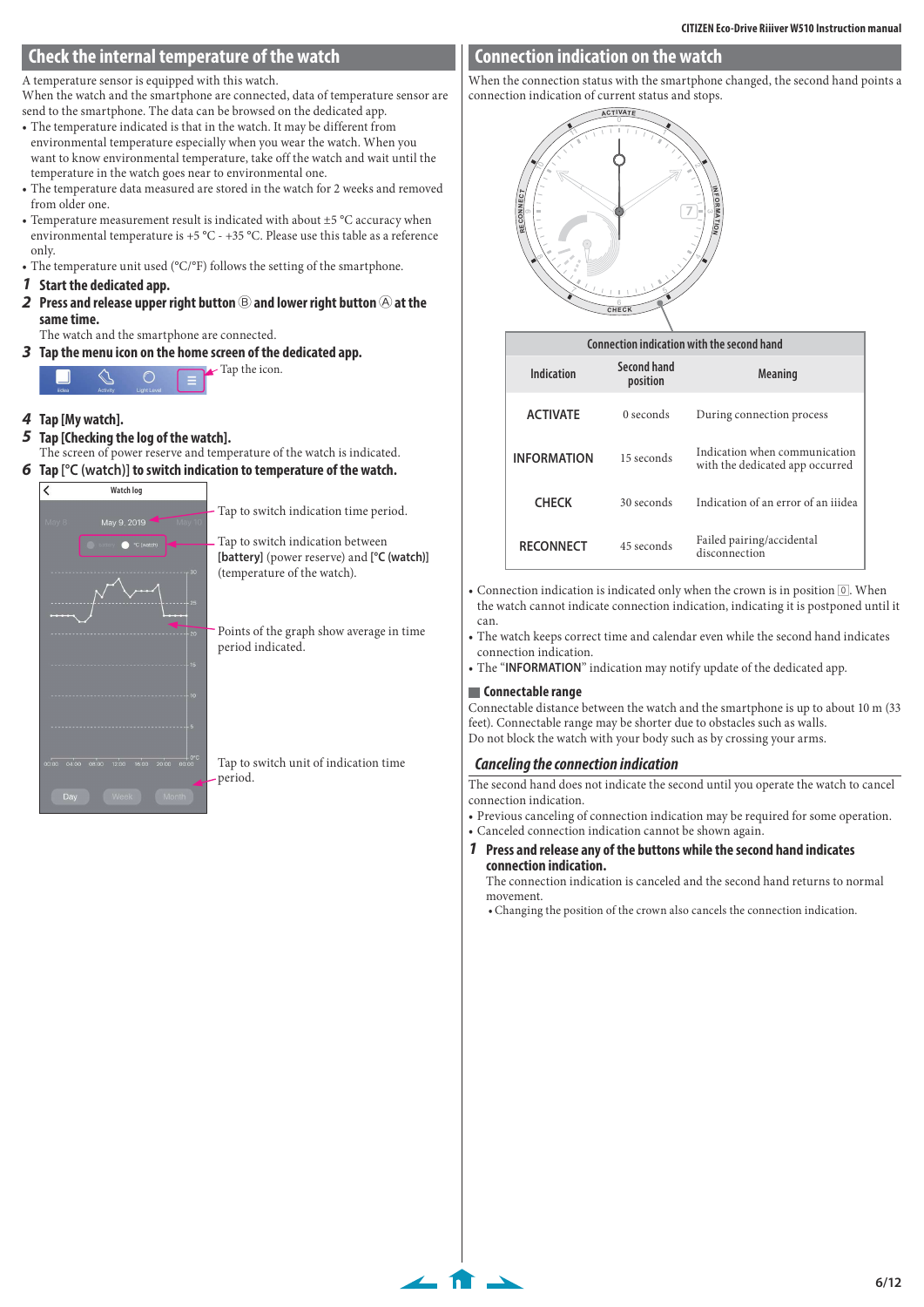## <span id="page-5-0"></span>**Check the internal temperature of the watch**

A temperature sensor is equipped with this watch.

When the watch and the smartphone are connected, data of temperature sensor are send to the smartphone. The data can be browsed on the dedicated app.

- The temperature indicated is that in the watch. It may be different from environmental temperature especially when you wear the watch. When you want to know environmental temperature, take off the watch and wait until the temperature in the watch goes near to environmental one.
- The temperature data measured are stored in the watch for 2 weeks and removed from older one.
- Temperature measurement result is indicated with about ±5 °C accuracy when environmental temperature is +5 °C - +35 °C. Please use this table as a reference only.
- The temperature unit used (°C/°F) follows the setting of the smartphone.
- **1 Start the dedicated app.**
- **2** Press and release upper right button  $\circledB$  and lower right button  $\circledB$  at the **same time.**

The watch and the smartphone are connected.

**3 Tap the menu icon on the home screen of the dedicated app.**

Tap the icon.  $\bigcap$ 

- **4 Tap [My watch].**
- **5 Tap [Checking the log of the watch].** The screen of power reserve and temperature of the watch is indicated.
- **6 Tap [°C (watch)] to switch indication to temperature of the watch.**





Tap to switch indication time period.

Tap to switch indication between **[battery]** (power reserve) and **[°C (watch)]** (temperature of the watch).

Points of the graph show average in time period indicated.

Tap to switch unit of indication time period.

## **Connection indication on the watch**

When the connection status with the smartphone changed, the second hand points a connection indication of current status and stops.



|                    |                         | Connection indication with the second hand                       |
|--------------------|-------------------------|------------------------------------------------------------------|
| Indication         | Second hand<br>position | <b>Meaning</b>                                                   |
| <b>ACTIVATE</b>    | $0$ seconds             | During connection process                                        |
| <b>INFORMATION</b> | 15 seconds              | Indication when communication<br>with the dedicated app occurred |
| <b>CHECK</b>       | 30 seconds              | Indication of an error of an ijidea                              |
| <b>RECONNECT</b>   | 45 seconds              | Failed pairing/accidental<br>disconnection                       |

• Connection indication is indicated only when the crown is in position  $[0]$ . When the watch cannot indicate connection indication, indicating it is postponed until it can.

• The watch keeps correct time and calendar even while the second hand indicates connection indication.

• The "**INFORMATION**" indication may notify update of the dedicated app.

#### **Connectable range**

 $\bullet$ .

Connectable distance between the watch and the smartphone is up to about 10 m (33 feet). Connectable range may be shorter due to obstacles such as walls. Do not block the watch with your body such as by crossing your arms.

## <span id="page-5-1"></span>**Canceling the connection indication**

The second hand does not indicate the second until you operate the watch to cancel connection indication.

• Previous canceling of connection indication may be required for some operation.

• Canceled connection indication cannot be shown again.

**1 Press and release any of the buttons while the second hand indicates connection indication.**

The connection indication is canceled and the second hand returns to normal movement.

• Changing the position of the crown also cancels the connection indication.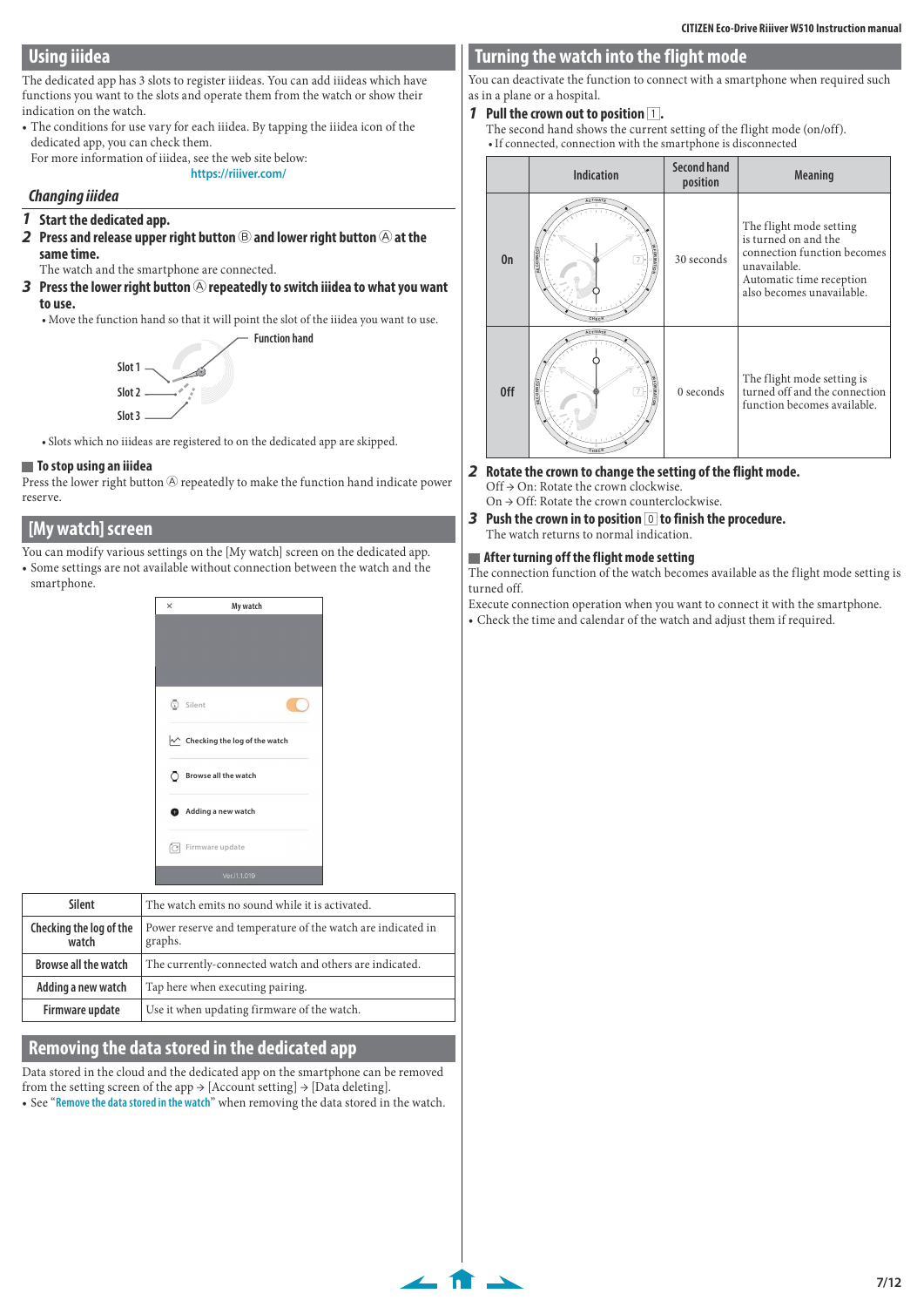# <span id="page-6-2"></span><span id="page-6-0"></span>**Using iiidea**

The dedicated app has 3 slots to register iiideas. You can add iiideas which have functions you want to the slots and operate them from the watch or show their indication on the watch.

• The conditions for use vary for each iiidea. By tapping the iiidea icon of the dedicated app, you can check them.

#### For more information of iiidea, see the web site below: **https://riiiver.com/**

#### **Changing iiidea**

- **1 Start the dedicated app.**
- **2** Press and release upper right button  $\circledB$  and lower right button  $\circledB$  at the **same time.**

The watch and the smartphone are connected.

**3** Press the lower right button  $\bigcirc$  repeatedly to switch iiidea to what you want **to use.**

• Move the function hand so that it will point the slot of the iiidea you want to use. **Function hand**



• Slots which no iiideas are registered to on the dedicated app are skipped.

#### **To stop using an iiidea**

Press the lower right button  $\circledR$  repeatedly to make the function hand indicate power reserve.

## **[My watch] screen**

- You can modify various settings on the [My watch] screen on the dedicated app.
- Some settings are not available without connection between the watch and the smartphone.



| Silent                           | The watch emits no sound while it is activated.                        |  |
|----------------------------------|------------------------------------------------------------------------|--|
| Checking the log of the<br>watch | Power reserve and temperature of the watch are indicated in<br>graphs. |  |
| <b>Browse all the watch</b>      | The currently-connected watch and others are indicated.                |  |
| Adding a new watch               | Tap here when executing pairing.                                       |  |
| Firmware update                  | Use it when updating firmware of the watch.                            |  |

## **Removing the data stored in the dedicated app**

Data stored in the cloud and the dedicated app on the smartphone can be removed from the setting screen of the app  $\rightarrow$  [Account setting]  $\rightarrow$  [Data deleting].

• See "**[Remove the data stored in the watch](#page-9-1)**" when removing the data stored in the watch.

# <span id="page-6-1"></span>**Turning the watch into the flight mode**

You can deactivate the function to connect with a smartphone when required such as in a plane or a hospital.

- **1** Pull the crown out to position  $\boxed{1}$ .
	- The second hand shows the current setting of the flight mode (on/off). • If connected, connection with the smartphone is disconnected

|     | <b>Indication</b>                 | <b>Second hand</b><br>position | <b>Meaning</b>                                                                                                                                          |
|-----|-----------------------------------|--------------------------------|---------------------------------------------------------------------------------------------------------------------------------------------------------|
| 0n  | <b>NFORMATIO</b><br>CHEC          | 30 seconds                     | The flight mode setting<br>is turned on and the<br>connection function becomes<br>unavailable.<br>Automatic time reception<br>also becomes unavailable. |
| 0ff | <b>NEORMATIO</b><br>ECONN<br>CHEC | $0$ seconds                    | The flight mode setting is<br>turned off and the connection<br>function becomes available.                                                              |

- **2 Rotate the crown to change the setting of the flight mode.** Off → On: Rotate the crown clockwise.
	- On → Off: Rotate the crown counterclockwise.
- **3 Push the crown in to position** 0 **to finish the procedure.** The watch returns to normal indication.

#### **After turning off the flight mode setting**

 $\leftarrow$  for  $\rightarrow$ 

The connection function of the watch becomes available as the flight mode setting is turned off.

Execute connection operation when you want to connect it with the smartphone.

• Check the time and calendar of the watch and adjust them if required.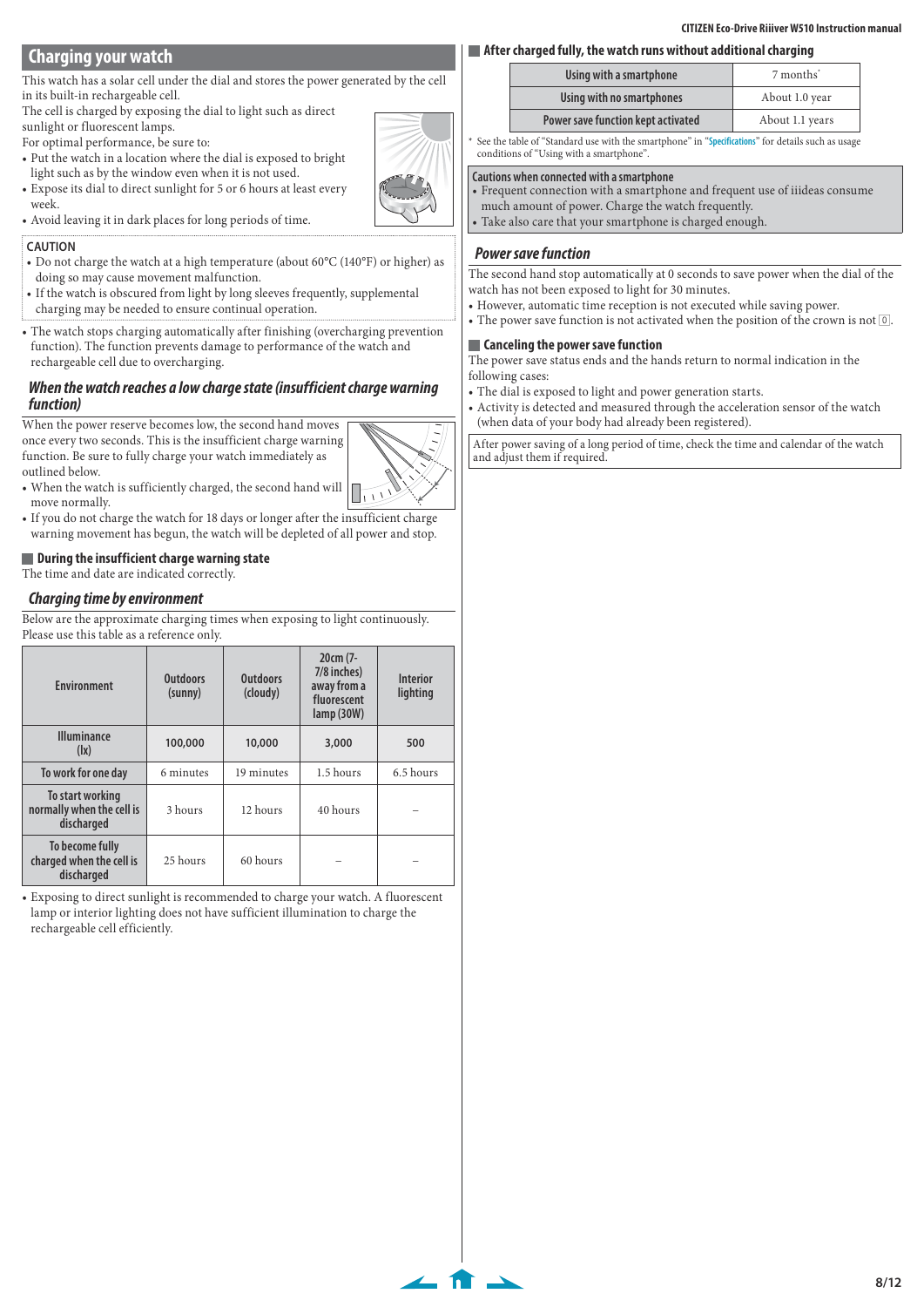## **CITIZEN Eco-Drive Riiiver W510 Instruction manual**

# <span id="page-7-1"></span><span id="page-7-0"></span>**Charging your watch**

This watch has a solar cell under the dial and stores the power generated by the cell in its built-in rechargeable cell.

The cell is charged by exposing the dial to light such as direct sunlight or fluorescent lamps.

For optimal performance, be sure to:

- Put the watch in a location where the dial is exposed to bright light such as by the window even when it is not used.
- Expose its dial to direct sunlight for 5 or 6 hours at least every week.
- Avoid leaving it in dark places for long periods of time.

#### **CAUTION**

- Do not charge the watch at a high temperature (about 60°C (140°F) or higher) as doing so may cause movement malfunction.
- If the watch is obscured from light by long sleeves frequently, supplemental
- charging may be needed to ensure continual operation.
- The watch stops charging automatically after finishing (overcharging prevention function). The function prevents damage to performance of the watch and rechargeable cell due to overcharging.

## <span id="page-7-3"></span>**When the watch reaches a low charge state (insufficient charge warning function)**

When the power reserve becomes low, the second hand moves once every two seconds. This is the insufficient charge warning function. Be sure to fully charge your watch immediately as outlined below.

 $\sqrt{11}$ 

 $\leftarrow$  for  $\rightarrow$ 

- When the watch is sufficiently charged, the second hand will move normally.
- If you do not charge the watch for 18 days or longer after the insufficient charge warning movement has begun, the watch will be depleted of all power and stop.

## **During the insufficient charge warning state**

The time and date are indicated correctly.

## **Charging time by environment**

Below are the approximate charging times when exposing to light continuously. Please use this table as a reference only.

| <b>Environment</b>                                          | <b>Outdoors</b><br>(sunny) | <b>Outdoors</b><br>(cloudy) | $20cm(7 -$<br>7/8 inches)<br>away from a<br>fluorescent<br>lamp(30W) | <b>Interior</b><br>lighting |
|-------------------------------------------------------------|----------------------------|-----------------------------|----------------------------------------------------------------------|-----------------------------|
| <b>Illuminance</b><br>$( x\rangle)$                         | 100,000                    | 10,000                      | 3,000                                                                | 500                         |
| To work for one day                                         | 6 minutes                  | 19 minutes                  | 1.5 hours                                                            | 6.5 hours                   |
| To start working<br>normally when the cell is<br>discharged | 3 hours                    | 12 hours                    | 40 hours                                                             |                             |
| To become fully<br>charged when the cell is<br>discharged   | 25 hours                   | 60 hours                    |                                                                      |                             |

• Exposing to direct sunlight is recommended to charge your watch. A fluorescent lamp or interior lighting does not have sufficient illumination to charge the rechargeable cell efficiently.

|                                    | After charged fully, the watch runs without additional charging |                       |  |  |  |
|------------------------------------|-----------------------------------------------------------------|-----------------------|--|--|--|
|                                    | Using with a smartphone                                         | 7 months <sup>*</sup> |  |  |  |
|                                    | Using with no smartphones                                       | About 1.0 year        |  |  |  |
| Power save function kept activated |                                                                 | About 1.1 years       |  |  |  |

See the table of "Standard use with the smartphone" in "[Specifications](#page-11-2)" for details such as usage conditions of "Using with a smartphone".

#### **Cautions when connected with a smartphone**

- Frequent connection with a smartphone and frequent use of iiideas consume much amount of power. Charge the watch frequently.
- Take also care that your smartphone is charged enough.

## <span id="page-7-2"></span>**Power save function**

The second hand stop automatically at 0 seconds to save power when the dial of the watch has not been exposed to light for 30 minutes.

- However, automatic time reception is not executed while saving power.
- The power save function is not activated when the position of the crown is not  $[0, 1]$ .

#### **Canceling the power save function**

The power save status ends and the hands return to normal indication in the following cases:

- The dial is exposed to light and power generation starts.
- Activity is detected and measured through the acceleration sensor of the watch (when data of your body had already been registered).

<span id="page-7-4"></span>After power saving of a long period of time, check the time and calendar of the watch and adjust them if required.

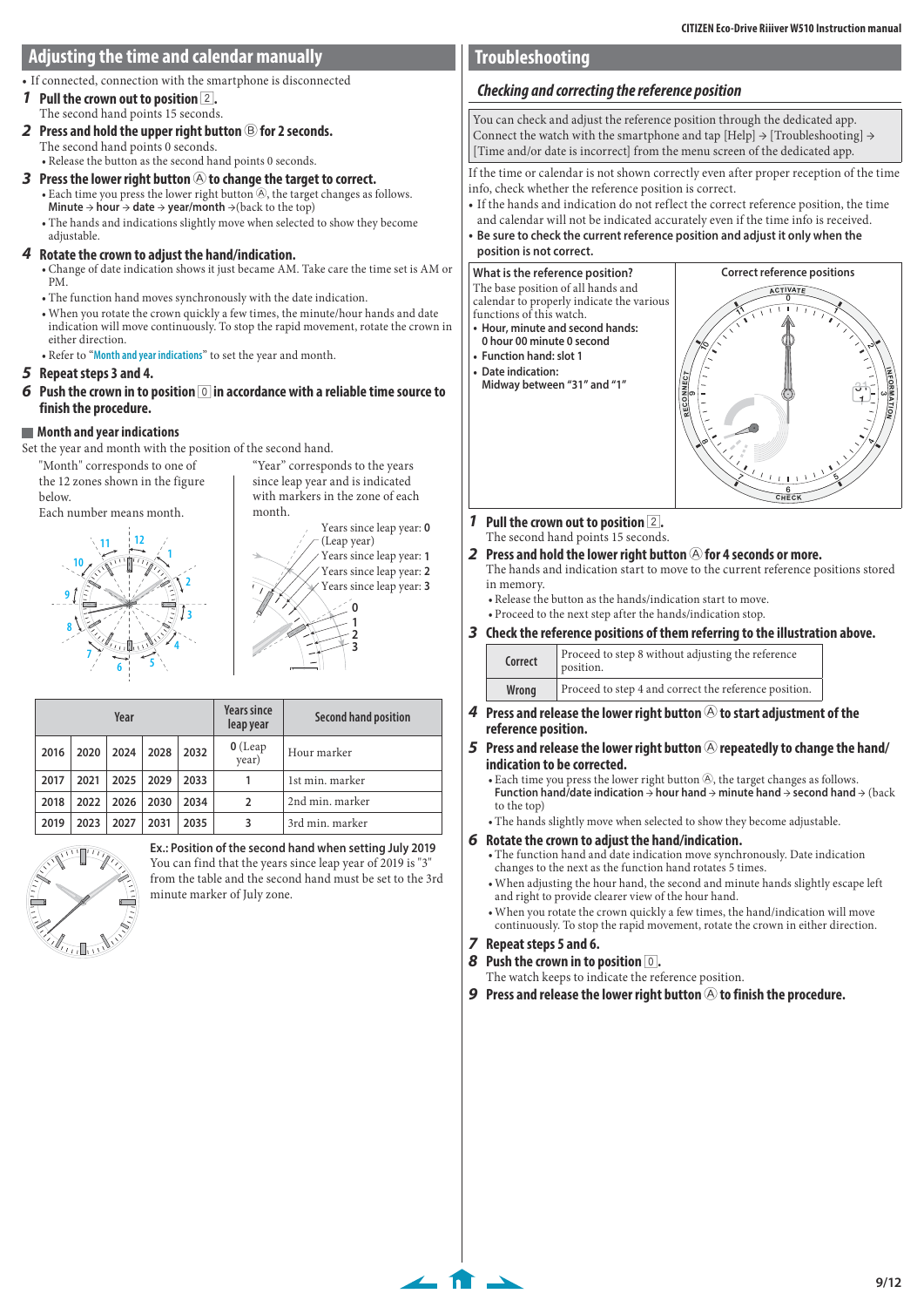## <span id="page-8-2"></span><span id="page-8-0"></span>**Adjusting the time and calendar manually**

• If connected, connection with the smartphone is disconnected

**1 Pull the crown out to position** 2**.** The second hand points 15 seconds.

**2 Press and hold the upper right button** B **for 2 seconds.** The second hand points 0 seconds.

• Release the button as the second hand points 0 seconds.

- **3** Press the lower right button  $\bigcirc$  to change the target to correct.  $\bullet$  Each time you press the lower right button  $\overline{\Theta}$ , the target changes as follows. **Minute** → **hour** → **date** → **year/month** →(back to the top)
	- The hands and indications slightly move when selected to show they become adjustable.

#### **4 Rotate the crown to adjust the hand/indication.**

- Change of date indication shows it just became AM. Take care the time set is AM or PM.
- The function hand moves synchronously with the date indication.
- When you rotate the crown quickly a few times, the minute/hour hands and date indication will move continuously. To stop the rapid movement, rotate the crown in either direction.
- Refer to "**[Month and year indications](#page-8-1)**" to set the year and month.

#### **5 Repeat steps 3 and 4.**

**6** Push the crown in to position  $\boxed{0}$  in accordance with a reliable time source to **finish the procedure.**

#### <span id="page-8-1"></span>**Month and year indications**

Set the year and month with the position of the second hand.

"Month" corresponds to one of the 12 zones shown in the figure below.

Each number means month. **12 11**

"Year" corresponds to the years since leap year and is indicated with markers in the zone of each month. Years since leap year: **0**





| Year |      |      |      | <b>Years since</b><br>leap year | Second hand position |                 |
|------|------|------|------|---------------------------------|----------------------|-----------------|
| 2016 | 2020 | 2024 | 2028 | 2032                            | $O$ (Leap<br>year)   | Hour marker     |
| 2017 | 2021 | 2025 | 2029 | 2033                            | 1                    | 1st min. marker |
| 2018 | 2022 | 2026 | 2030 | 2034                            | 2                    | 2nd min. marker |
| 2019 | 2023 | 2027 | 2031 | 2035                            | 3                    | 3rd min. marker |



**Ex.: Position of the second hand when setting July 2019** You can find that the years since leap year of 2019 is "3" from the table and the second hand must be set to the 3rd minute marker of July zone.

# **Troubleshooting**

## <span id="page-8-3"></span> **Checking and correcting the reference position**

You can check and adjust the reference position through the dedicated app. Connect the watch with the smartphone and tap  $[Help] \rightarrow [True$ bleshooting]  $\rightarrow$ [Time and/or date is incorrect] from the menu screen of the dedicated app.

If the time or calendar is not shown correctly even after proper reception of the time info, check whether the reference position is correct.

- If the hands and indication do not reflect the correct reference position, the time and calendar will not be indicated accurately even if the time info is received.
- **Be sure to check the current reference position and adjust it only when the position is not correct.**

## **What is the reference position?**

The base position of all hands and calendar to properly indicate the various functions of this watch.

- **Hour, minute and second hands: 0 hour 00 minute 0 second**
- **Function hand: slot 1**
- **Date indication: Midway between "31" and "1"**



- **1 Pull the crown out to position** 2**.** The second hand points 15 seconds.
- **2** Press and hold the lower right button  $\widehat{A}$  for 4 seconds or more.
- The hands and indication start to move to the current reference positions stored in memory.

• Release the button as the hands/indication start to move.

• Proceed to the next step after the hands/indication stop.

**3 Check the reference positions of them referring to the illustration above.**

| Correct | Proceed to step 8 without adjusting the reference<br>position. |
|---------|----------------------------------------------------------------|
| Wrong   | Proceed to step 4 and correct the reference position.          |
|         |                                                                |

- **4** Press and release the lower right button  $\circledA$  to start adjustment of the **reference position.**
- **5** Press and release the lower right button  $\bigcirc$  repeatedly to change the hand/ **indication to be corrected.**
	- Each time you press the lower right button  $\overline{\Theta}$ , the target changes as follows. **Function hand/date indication** → **hour hand** → **minute hand** → **second hand** → (back to the top)

• The hands slightly move when selected to show they become adjustable.

#### **6 Rotate the crown to adjust the hand/indication.**

- The function hand and date indication move synchronously. Date indication changes to the next as the function hand rotates 5 times.
- When adjusting the hour hand, the second and minute hands slightly escape left and right to provide clearer view of the hour hand.
- When you rotate the crown quickly a few times, the hand/indication will move continuously. To stop the rapid movement, rotate the crown in either direction.

#### **7 Repeat steps 5 and 6.**

 $\leftarrow$  for  $\rightarrow$ 

- **8 Push the crown in to position** 0**.**
- The watch keeps to indicate the reference position.
- **9** Press and release the lower right button  $\widehat{\Theta}$  to finish the procedure.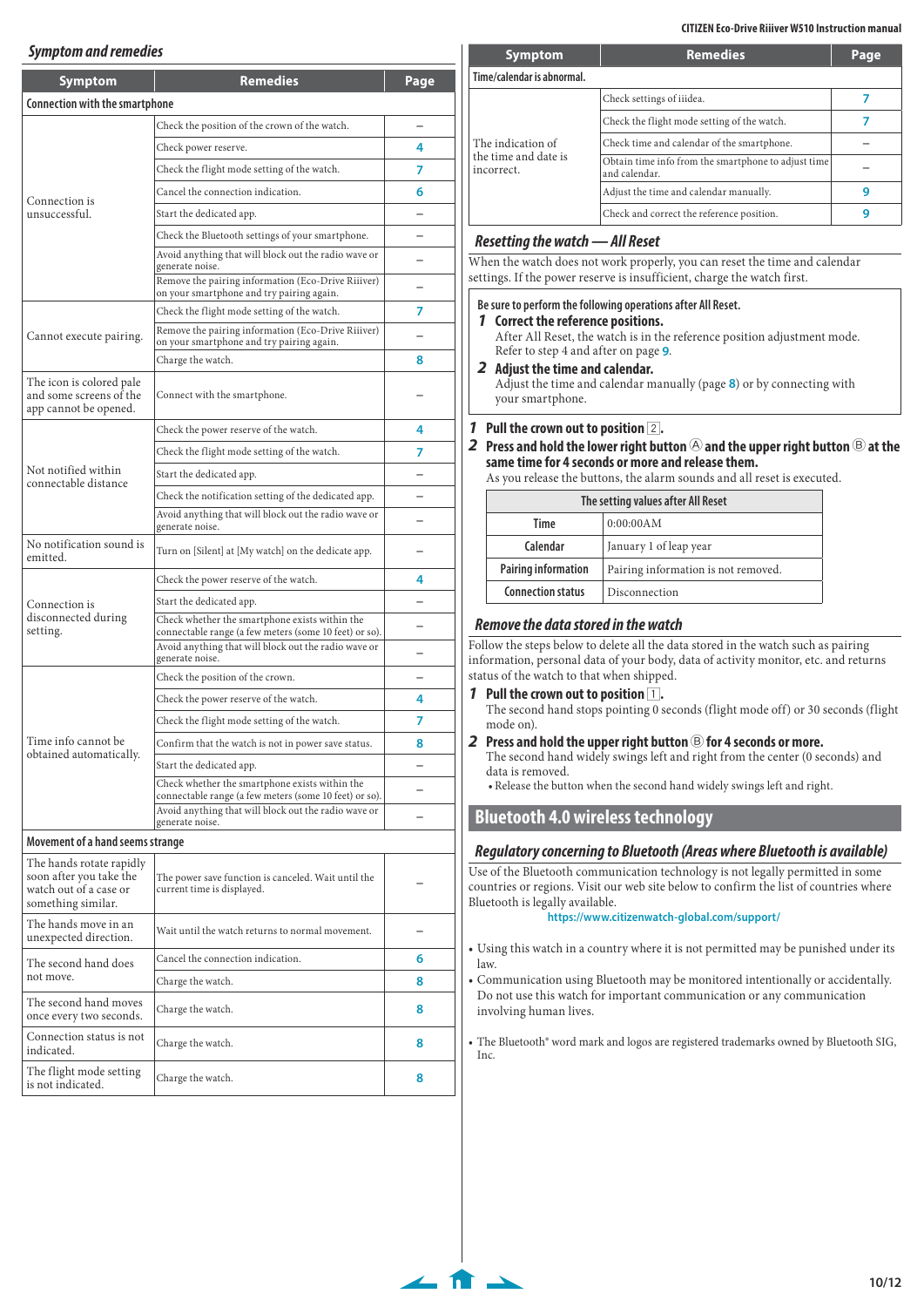## <span id="page-9-0"></span>**Symptom and remedies**

| <b>Symptom</b>                                                               | <b>Remedies</b>                                                                                                                   | Page |  |  |
|------------------------------------------------------------------------------|-----------------------------------------------------------------------------------------------------------------------------------|------|--|--|
| <b>Connection with the smartphone</b>                                        |                                                                                                                                   |      |  |  |
|                                                                              | Check the position of the crown of the watch.                                                                                     |      |  |  |
|                                                                              | Check power reserve.                                                                                                              |      |  |  |
|                                                                              | Check the flight mode setting of the watch.                                                                                       |      |  |  |
|                                                                              | Cancel the connection indication.                                                                                                 |      |  |  |
| Connection is<br>unsuccessful.                                               | Start the dedicated app.                                                                                                          |      |  |  |
|                                                                              | Check the Bluetooth settings of your smartphone.                                                                                  |      |  |  |
|                                                                              | Avoid anything that will block out the radio wave or<br>generate noise.                                                           |      |  |  |
|                                                                              | Remove the pairing information (Eco-Drive Riiiver)<br>on your smartphone and try pairing again.                                   |      |  |  |
|                                                                              | Check the flight mode setting of the watch.                                                                                       | 7    |  |  |
| Cannot execute pairing.                                                      | Remove the pairing information (Eco-Drive Riiiver)<br>on your smartphone and try pairing again.                                   |      |  |  |
|                                                                              | Charge the watch.                                                                                                                 | 8    |  |  |
| The icon is colored pale<br>and some screens of the<br>app cannot be opened. | Connect with the smartphone.                                                                                                      |      |  |  |
|                                                                              | Check the power reserve of the watch.                                                                                             | 4    |  |  |
|                                                                              | Check the flight mode setting of the watch.                                                                                       | 7    |  |  |
| Not notified within<br>connectable distance                                  | Start the dedicated app.                                                                                                          |      |  |  |
|                                                                              | Check the notification setting of the dedicated app.                                                                              |      |  |  |
|                                                                              | Avoid anything that will block out the radio wave or<br>generate noise.                                                           |      |  |  |
| No notification sound is<br>emitted.                                         | Turn on [Silent] at [My watch] on the dedicate app.                                                                               |      |  |  |
|                                                                              | Check the power reserve of the watch.                                                                                             | 4    |  |  |
| Connection is                                                                | Start the dedicated app.                                                                                                          |      |  |  |
| disconnected during<br>setting.                                              | Check whether the smartphone exists within the<br>connectable range (a few meters (some 10 feet) or so).                          |      |  |  |
|                                                                              | Avoid anything that will block out the radio wave or<br>generate noise.                                                           | -    |  |  |
|                                                                              | Check the position of the crown.                                                                                                  |      |  |  |
|                                                                              | Check the power reserve of the watch.                                                                                             | 4    |  |  |
|                                                                              | Check the flight mode setting of the watch.                                                                                       | 7    |  |  |
| Time info cannot be                                                          | Confirm that the watch is not in power save status.                                                                               | 8    |  |  |
| obtained automatically.                                                      | Start the dedicated app.                                                                                                          |      |  |  |
|                                                                              | Check whether the smartphone exists within the                                                                                    |      |  |  |
|                                                                              | connectable range (a few meters (some 10 feet) or so).<br>Avoid anything that will block out the radio wave or<br>generate noise. |      |  |  |
| Movement of a hand seems strange                                             |                                                                                                                                   |      |  |  |
| The hands rotate rapidly<br>soon after you take the                          | The power save function is canceled. Wait until the                                                                               |      |  |  |
| watch out of a case or<br>something similar.                                 | current time is displayed.                                                                                                        |      |  |  |
| The hands move in an<br>unexpected direction.                                | Wait until the watch returns to normal movement.                                                                                  |      |  |  |
| The second hand does                                                         | Cancel the connection indication.                                                                                                 | 6    |  |  |
| not move.                                                                    | Charge the watch.                                                                                                                 | 8    |  |  |
| The second hand moves<br>once every two seconds.                             | 8<br>Charge the watch.                                                                                                            |      |  |  |
| Connection status is not<br>indicated.                                       | Charge the watch.                                                                                                                 | 8    |  |  |
| The flight mode setting<br>Charge the watch.<br>is not indicated.            |                                                                                                                                   |      |  |  |

| <b>Symptom</b>                     | <b>Remedies</b>                                                      | Page |  |  |  |
|------------------------------------|----------------------------------------------------------------------|------|--|--|--|
| Time/calendar is abnormal.         |                                                                      |      |  |  |  |
|                                    | Check settings of iiidea.                                            |      |  |  |  |
|                                    | Check the flight mode setting of the watch.                          |      |  |  |  |
| The indication of                  | Check time and calendar of the smartphone.                           |      |  |  |  |
| the time and date is<br>incorrect. | Obtain time info from the smartphone to adjust time<br>and calendar. |      |  |  |  |
|                                    | Adjust the time and calendar manually.                               | q    |  |  |  |
|                                    | Check and correct the reference position.                            | 9    |  |  |  |

#### **Resetting the watch — All Reset**

When the watch does not work properly, you can reset the time and calendar settings. If the power reserve is insufficient, charge the watch first.

#### **Be sure to perform the following operations after All Reset.**

**1 Correct the reference positions.**

After All Reset, the watch is in the reference position adjustment mode. Refer to step 4 and after on page **[9](#page-8-3)**.

#### **2 Adjust the time and calendar.**

Adjust the time and calendar manually (page **[8](#page-7-4)**) or by connecting with your smartphone.

#### **1 Pull the crown out to position** 2**.**

**2 Press and hold the lower right button** A **and the upper right button** B **at the** 

# **same time for 4 seconds or more and release them.**

As you release the buttons, the alarm sounds and all reset is executed.

| The setting values after All Reset |                                     |  |
|------------------------------------|-------------------------------------|--|
| 0:00:00AM<br>Time                  |                                     |  |
| Calendar<br>January 1 of leap year |                                     |  |
| <b>Pairing information</b>         | Pairing information is not removed. |  |
| <b>Connection status</b>           | Disconnection                       |  |

#### <span id="page-9-1"></span>**Remove the data stored in the watch**

Follow the steps below to delete all the data stored in the watch such as pairing information, personal data of your body, data of activity monitor, etc. and returns status of the watch to that when shipped.

- **Pull the crown out to position 1.** The second hand stops pointing 0 seconds (flight mode off) or 30 seconds (flight mode on).
- **2 Press and hold the upper right button** B **for 4 seconds or more.** The second hand widely swings left and right from the center (0 seconds) and data is removed.

• Release the button when the second hand widely swings left and right.

## **Bluetooth 4.0 wireless technology**

 $\leftarrow$  for  $\overline{ }$ 

#### **Regulatory concerning to Bluetooth (Areas where Bluetooth is available)**

Use of the Bluetooth communication technology is not legally permitted in some countries or regions. Visit our web site below to confirm the list of countries where Bluetooth is legally available.

**https://www.citizenwatch-global.com/support/**

- Using this watch in a country where it is not permitted may be punished under its law.
- Communication using Bluetooth may be monitored intentionally or accidentally. Do not use this watch for important communication or any communication involving human lives.

The Bluetooth® word mark and logos are registered trademarks owned by Bluetooth SIG, Inc.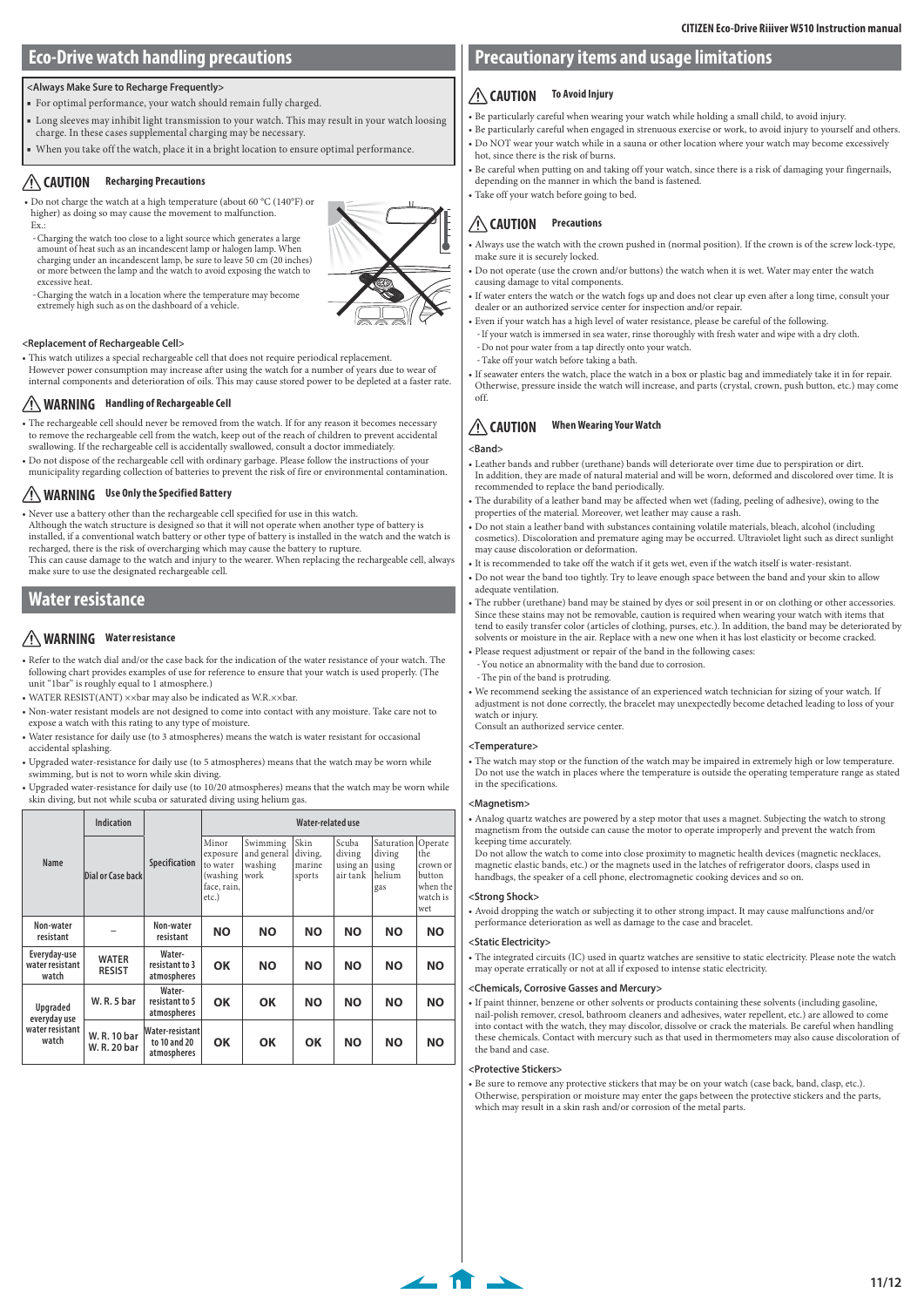# <span id="page-10-1"></span><span id="page-10-0"></span>**Eco-Drive watch handling precautions**

#### **<Always Make Sure to Recharge Frequently>**

- For optimal performance, your watch should remain fully charged.
- Long sleeves may inhibit light transmission to your watch. This may result in your watch loosing charge. In these cases supplemental charging may be necessary.
- When you take off the watch, place it in a bright location to ensure optimal performance.

## **CAUTION Recharging Precautions**

- Do not charge the watch at a high temperature (about 60 °C (140°F) or higher) as doing so may cause the movement to malfunction.  $F_Y$ .
- -Charging the watch too close to a light source which generates a large amount of heat such as an incandescent lamp or halogen lamp. When charging under an incandescent lamp, be sure to leave 50 cm (20 inches) or more between the lamp and the watch to avoid exposing the watch to excessive heat.
- -Charging the watch in a location where the temperature may become extremely high such as on the dashboard of a vehicle.

#### **<Replacement of Rechargeable Cell>**

- This watch utilizes a special rechargeable cell that does not require periodical replacement.
- However power consumption may increase after using the watch for a number of years due to wear of internal components and deterioration of oils. This may cause stored power to be depleted at a faster rate.

#### **WARNING Handling of Rechargeable Cell**

- The rechargeable cell should never be removed from the watch. If for any reason it becomes necessary to remove the rechargeable cell from the watch, keep out of the reach of children to prevent accidental swallowing. If the rechargeable cell is accidentally swallowed, consult a doctor immediately.
- Do not dispose of the rechargeable cell with ordinary garbage. Please follow the instructions of your municipality regarding collection of batteries to prevent the risk of fire or environmental contamination.

## **WARNING Use Only the Specified Battery**

• Never use a battery other than the rechargeable cell specified for use in this watch. Although the watch structure is designed so that it will not operate when another type of battery is installed, if a conventional watch battery or other type of battery is installed in the watch and the watch is

recharged, there is the risk of overcharging which may cause the battery to rupture. This can cause damage to the watch and injury to the wearer. When replacing the rechargeable cell, always make sure to use the designated rechargeable cell.

## **Water resistance**

## **WARNING Water resistance**

- Refer to the watch dial and/or the case back for the indication of the water resistance of your watch. The following chart provides examples of use for reference to ensure that your watch is used properly. (The unit "1bar" is roughly equal to 1 atmosphere.)
- WATER RESIST(ANT) ××bar may also be indicated as W.R.××bar.
- Non-water resistant models are not designed to come into contact with any moisture. Take care not to expose a watch with this rating to any type of moisture.
- Water resistance for daily use (to 3 atmospheres) means the watch is water resistant for occasional accidental splashing.
- Upgraded water-resistance for daily use (to 5 atmospheres) means that the watch may be worn while swimming, but is not to worn while skin diving.
- Upgraded water-resistance for daily use (to 10/20 atmospheres) means that the watch may be worn while skin diving, but not while scuba or saturated diving using helium gas.

|                                                      | Indication                    |                                                | Water-related use                                                 |                                            |                                     |                                         |                                                          |                                                          |
|------------------------------------------------------|-------------------------------|------------------------------------------------|-------------------------------------------------------------------|--------------------------------------------|-------------------------------------|-----------------------------------------|----------------------------------------------------------|----------------------------------------------------------|
| Name                                                 | Dial or Case back             | Specification                                  | Minor<br>exposure<br>to water<br>(washing<br>face, rain,<br>etc.) | Swimming<br>and general<br>washing<br>work | Skin<br>diving,<br>marine<br>sports | Scuba<br>diving<br>using an<br>air tank | Saturation   Operate<br>diving<br>using<br>helium<br>gas | the<br>crown or<br>button<br>when the<br>watch is<br>wet |
| Non-water<br>resistant                               |                               | Non-water<br>resistant                         | <b>NO</b>                                                         | <b>NO</b>                                  | <b>NO</b>                           | <b>NO</b>                               | <b>NO</b>                                                | <b>NO</b>                                                |
| Everyday-use<br>water resistant<br>watch             | <b>WATER</b><br><b>RESIST</b> | Water-<br>resistant to 3<br>atmospheres        | OK                                                                | <b>NO</b>                                  | <b>NO</b>                           | <b>NO</b>                               | <b>NO</b>                                                | <b>NO</b>                                                |
| Upgraded<br>everyday use<br>water resistant<br>watch | <b>W.R.5 bar</b>              | Water-<br>resistant to 5<br>atmospheres        | OK                                                                | OK                                         | <b>NO</b>                           | <b>NO</b>                               | ΝO                                                       | ΝO                                                       |
|                                                      | W. R. 10 bar<br>W. R. 20 bar  | Water-resistant<br>to 10 and 20<br>atmospheres | ΟK                                                                | OK                                         | OK                                  | <b>NO</b>                               | ΝO                                                       | ΝO                                                       |

## **Precautionary items and usage limitations**

#### **CAUTION To Avoid Injury**

- Be particularly careful when wearing your watch while holding a small child, to avoid injury.
- Be particularly careful when engaged in strenuous exercise or work, to avoid injury to yourself and others. • Do NOT wear your watch while in a sauna or other location where your watch may become excessively
- hot, since there is the risk of burns.

• Be careful when putting on and taking off your watch, since there is a risk of damaging your fingernails, depending on the manner in which the band is fastened. • Take off your watch before going to bed.

# **CAUTION Precautions**

• Always use the watch with the crown pushed in (normal position). If the crown is of the screw lock-type, make sure it is securely locked.

- Do not operate (use the crown and/or buttons) the watch when it is wet. Water may enter the watch causing damage to vital components.
- If water enters the watch or the watch fogs up and does not clear up even after a long time, consult your dealer or an authorized service center for inspection and/or repair.
- Even if your watch has a high level of water resistance, please be careful of the following. -If your watch is immersed in sea water, rinse thoroughly with fresh water and wipe with a dry cloth.
- Do not pour water from a tap directly onto your watch.
- Take off your watch before taking a bath.

• If seawater enters the watch, place the watch in a box or plastic bag and immediately take it in for repair. Otherwise, pressure inside the watch will increase, and parts (crystal, crown, push button, etc.) may come off.

## **CAUTION When Wearing Your Watch**

#### **<Band>**

- Leather bands and rubber (urethane) bands will deteriorate over time due to perspiration or dirt. In addition, they are made of natural material and will be worn, deformed and discolored over time. It is recommended to replace the band periodically.
- The durability of a leather band may be affected when wet (fading, peeling of adhesive), owing to the properties of the material. Moreover, wet leather may cause a rash.
- Do not stain a leather band with substances containing volatile materials, bleach, alcohol (including cosmetics). Discoloration and premature aging may be occurred. Ultraviolet light such as direct sunlight may cause discoloration or deformation.
- It is recommended to take off the watch if it gets wet, even if the watch itself is water-resistant.
- Do not wear the band too tightly. Try to leave enough space between the band and your skin to allow adequate ventilation.
- The rubber (urethane) band may be stained by dyes or soil present in or on clothing or other accessories. Since these stains may not be removable, caution is required when wearing your watch with items that tend to easily transfer color (articles of clothing, purses, etc.). In addition, the band may be deteriorated by solvents or moisture in the air. Replace with a new one when it has lost elasticity or become cracked.
- Please request adjustment or repair of the band in the following cases: -You notice an abnormality with the band due to corrosion.
- The pin of the band is protruding.
- We recommend seeking the assistance of an experienced watch technician for sizing of your watch. If adjustment is not done correctly, the bracelet may unexpectedly become detached leading to loss of your watch or injury.

Consult an authorized service center.

#### **<Temperature>**

• The watch may stop or the function of the watch may be impaired in extremely high or low temperature. Do not use the watch in places where the temperature is outside the operating temperature range as stated in the specifications.

#### **<Magnetism>**

• Analog quartz watches are powered by a step motor that uses a magnet. Subjecting the watch to strong magnetism from the outside can cause the motor to operate improperly and prevent the watch from keeping time accurately.

Do not allow the watch to come into close proximity to magnetic health devices (magnetic necklaces, magnetic elastic bands, etc.) or the magnets used in the latches of refrigerator doors, clasps used in handbags, the speaker of a cell phone, electromagnetic cooking devices and so on.

#### **<Strong Shock>**

• Avoid dropping the watch or subjecting it to other strong impact. It may cause malfunctions and/or performance deterioration as well as damage to the case and bracelet.

#### **<Static Electricity>**

• The integrated circuits (IC) used in quartz watches are sensitive to static electricity. Please note the watch may operate erratically or not at all if exposed to intense static electricity.

#### **<Chemicals, Corrosive Gasses and Mercury>**

• If paint thinner, benzene or other solvents or products containing these solvents (including gasoline, nail-polish remover, cresol, bathroom cleaners and adhesives, water repellent, etc.) are allowed to come into contact with the watch, they may discolor, dissolve or crack the materials. Be careful when handling these chemicals. Contact with mercury such as that used in thermometers may also cause discoloration of the band and case

#### **<Protective Stickers>**

 $\leftarrow$  for  $\rightarrow$ 

• Be sure to remove any protective stickers that may be on your watch (case back, band, clasp, etc.). Otherwise, perspiration or moisture may enter the gaps between the protective stickers and the parts, which may result in a skin rash and/or corrosion of the metal parts.